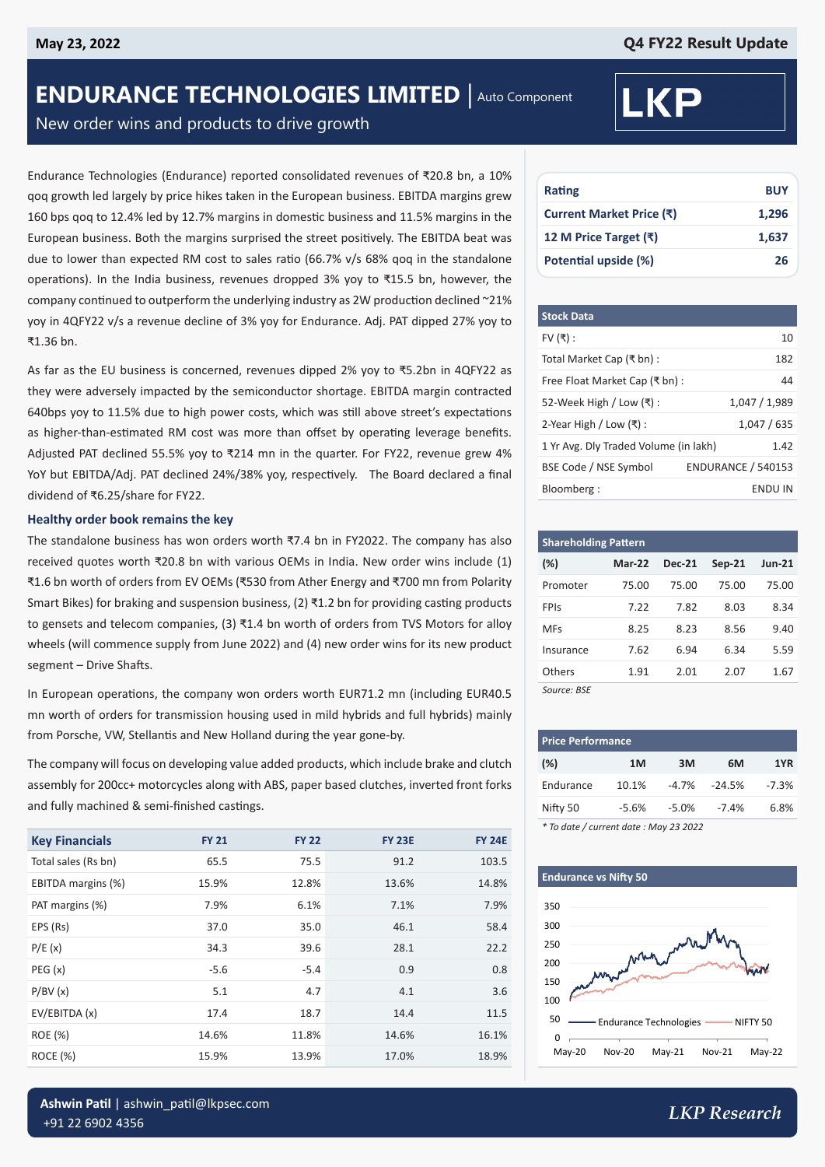# **ENDURANCE TECHNOLOGIES LIMITED** | Auto Component

New order wins and products to drive growth

Endurance Technologies (Endurance) reported consolidated revenues of ₹20.8 bn, a 10% qoq growth led largely by price hikes taken in the European business. EBITDA margins grew 160 bps qoq to 12.4% led by 12.7% margins in domestic business and 11.5% margins in the European business. Both the margins surprised the street positively. The EBITDA beat was due to lower than expected RM cost to sales ratio (66.7% v/s 68% qoq in the standalone operations). In the India business, revenues dropped 3% yoy to ₹15.5 bn, however, the company continued to outperform the underlying industry as 2W production declined ~21% yoy in 4QFY22 v/s a revenue decline of 3% yoy for Endurance. Adj. PAT dipped 27% yoy to ₹1.36 bn.

As far as the EU business is concerned, revenues dipped 2% yoy to ₹5.2bn in 4QFY22 as they were adversely impacted by the semiconductor shortage. EBITDA margin contracted 640bps yoy to 11.5% due to high power costs, which was still above street's expectations as higher-than-estimated RM cost was more than offset by operating leverage benefits. Adjusted PAT declined 55.5% yoy to ₹214 mn in the quarter. For FY22, revenue grew 4% YoY but EBITDA/Adj. PAT declined 24%/38% yoy, respectively. The Board declared a final dividend of ₹6.25/share for FY22.

#### **Healthy order book remains the key**

The standalone business has won orders worth ₹7.4 bn in FY2022. The company has also received quotes worth ₹20.8 bn with various OEMs in India. New order wins include (1) ₹1.6 bn worth of orders from EV OEMs (₹530 from Ather Energy and ₹700 mn from Polarity Smart Bikes) for braking and suspension business, (2) ₹1.2 bn for providing casting products to gensets and telecom companies, (3)  $\overline{x}$ 1.4 bn worth of orders from TVS Motors for alloy wheels (will commence supply from June 2022) and (4) new order wins for its new product segment – Drive Shafts.

In European operations, the company won orders worth EUR71.2 mn (including EUR40.5 mn worth of orders for transmission housing used in mild hybrids and full hybrids) mainly from Porsche, VW, Stellantis and New Holland during the year gone-by.

The company will focus on developing value added products, which include brake and clutch assembly for 200cc+ motorcycles along with ABS, paper based clutches, inverted front forks and fully machined & semi-finished castings.

| <b>Key Financials</b> | <b>FY 21</b> | <b>FY 22</b> | <b>FY 23E</b> | <b>FY 24E</b> |
|-----------------------|--------------|--------------|---------------|---------------|
| Total sales (Rs bn)   | 65.5         | 75.5         | 91.2          | 103.5         |
| EBITDA margins (%)    | 15.9%        | 12.8%        | 13.6%         | 14.8%         |
| PAT margins (%)       | 7.9%         | 6.1%         | 7.1%          | 7.9%          |
| EPS (Rs)              | 37.0         | 35.0         | 46.1          | 58.4          |
| P/E(x)                | 34.3         | 39.6         | 28.1          | 22.2          |
| PEG(x)                | $-5.6$       | $-5.4$       | 0.9           | 0.8           |
| P/BV(x)               | 5.1          | 4.7          | 4.1           | 3.6           |
| EV/EBITDA (x)         | 17.4         | 18.7         | 14.4          | 11.5          |
| ROE (%)               | 14.6%        | 11.8%        | 14.6%         | 16.1%         |
| ROCE (%)              | 15.9%        | 13.9%        | 17.0%         | 18.9%         |



| Rating                   | <b>BUY</b> |
|--------------------------|------------|
| Current Market Price (₹) | 1,296      |
| 12 M Price Target (₹)    | 1,637      |
| Potential upside (%)     | 26         |

| <b>Stock Data</b>                     |                           |
|---------------------------------------|---------------------------|
| FV $($ ₹):                            | 10                        |
| Total Market Cap (₹ bn) :             | 182                       |
| Free Float Market Cap (₹ bn):         | 44                        |
| 52-Week High / Low $(\bar{x})$ :      | 1,047 / 1,989             |
| 2-Year High / Low $($ ₹ $)$ :         | 1.047 / 635               |
| 1 Yr Avg. Dly Traded Volume (in lakh) | 1.42                      |
| BSE Code / NSE Symbol                 | <b>ENDURANCE / 540153</b> |
| Bloomberg:                            | <b>ENDU IN</b>            |

| <b>Shareholding Pattern</b> |               |               |               |          |  |  |
|-----------------------------|---------------|---------------|---------------|----------|--|--|
| $(\%)$                      | <b>Mar-22</b> | <b>Dec-21</b> | <b>Sep-21</b> | $Jun-21$ |  |  |
| Promoter                    | 75.00         | 75.00         | 75.00         | 75.00    |  |  |
| <b>FPIS</b>                 | 7.22          | 7.82          | 8.03          | 8.34     |  |  |
| <b>MFs</b>                  | 8.25          | 8.23          | 8.56          | 9.40     |  |  |
| Insurance                   | 7.62          | 6.94          | 6.34          | 5.59     |  |  |
| Others                      | 1.91          | 2.01          | 2.07          | 1.67     |  |  |
| Source: BSE                 |               |               |               |          |  |  |

| <b>Price Performance</b> |         |          |                  |         |  |  |
|--------------------------|---------|----------|------------------|---------|--|--|
| (%)                      | 1M      | 3M       | 6M               | 1YR     |  |  |
| Endurance                | 10.1%   |          | $-4.7\% -24.5\%$ | $-7.3%$ |  |  |
| Nifty 50                 | $-5.6%$ | $-5.0\%$ | -7.4%            | 6.8%    |  |  |
|                          |         |          |                  |         |  |  |

*\* To date / current date : May 23 2022*

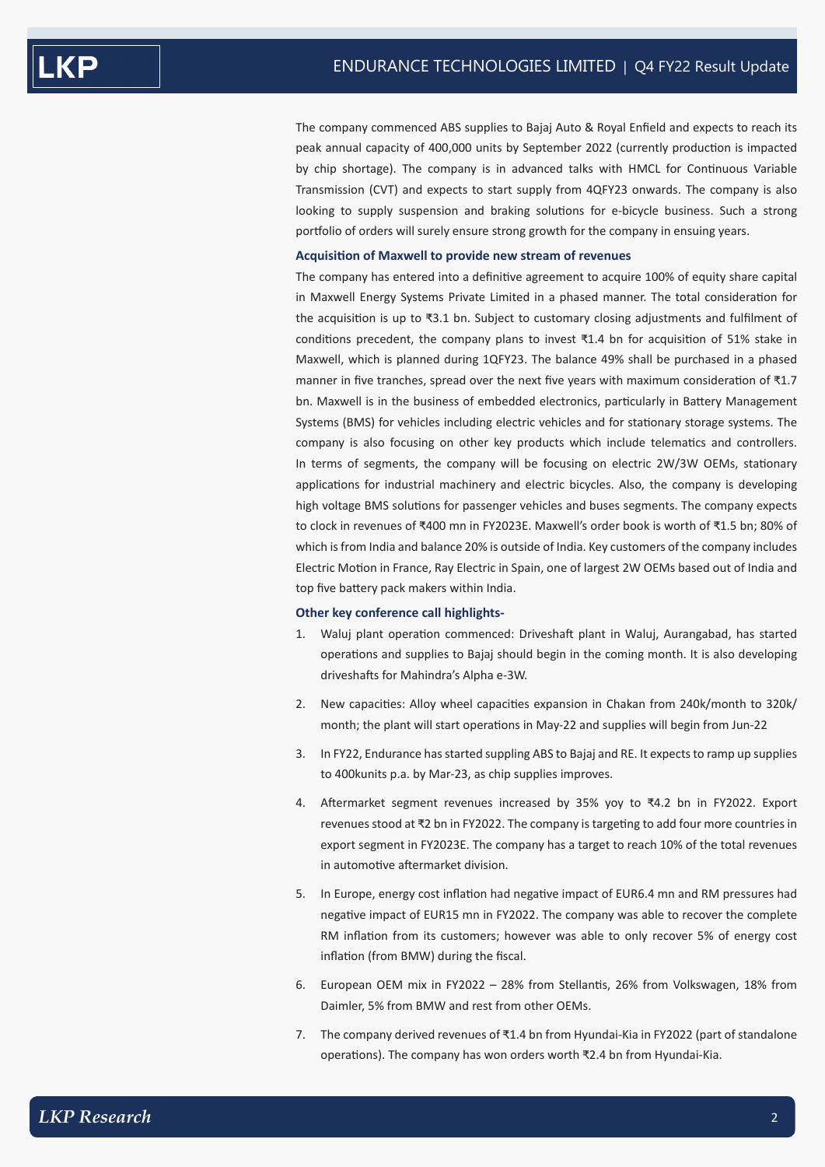The company commenced ABS supplies to Bajaj Auto & Royal Enfield and expects to reach its peak annual capacity of 400,000 units by September 2022 (currently production is impacted by chip shortage). The company is in advanced talks with HMCL for Continuous Variable Transmission (CVT) and expects to start supply from 4QFY23 onwards. The company is also looking to supply suspension and braking solutions for e-bicycle business. Such a strong portfolio of orders will surely ensure strong growth for the company in ensuing years.

### **Acquisition of Maxwell to provide new stream of revenues**

The company has entered into a definitive agreement to acquire 100% of equity share capital in Maxwell Energy Systems Private Limited in a phased manner. The total consideration for the acquisition is up to ₹3.1 bn. Subject to customary closing adjustments and fulfilment of conditions precedent, the company plans to invest ₹1.4 bn for acquisition of 51% stake in Maxwell, which is planned during 1QFY23. The balance 49% shall be purchased in a phased manner in five tranches, spread over the next five years with maximum consideration of ₹1.7 bn. Maxwell is in the business of embedded electronics, particularly in Battery Management Systems (BMS) for vehicles including electric vehicles and for stationary storage systems. The company is also focusing on other key products which include telematics and controllers. In terms of segments, the company will be focusing on electric 2W/3W OEMs, stationary applications for industrial machinery and electric bicycles. Also, the company is developing high voltage BMS solutions for passenger vehicles and buses segments. The company expects to clock in revenues of ₹400 mn in FY2023E. Maxwell's order book is worth of ₹1.5 bn; 80% of which is from India and balance 20% is outside of India. Key customers of the company includes Electric Motion in France, Ray Electric in Spain, one of largest 2W OEMs based out of India and top five battery pack makers within India.

#### **Other key conference call highlights-**

- 1. Waluj plant operation commenced: Driveshaft plant in Waluj, Aurangabad, has started operations and supplies to Bajaj should begin in the coming month. It is also developing driveshafts for Mahindra's Alpha e-3W.
- 2. New capacities: Alloy wheel capacities expansion in Chakan from 240k/month to 320k/ month; the plant will start operations in May-22 and supplies will begin from Jun-22
- 3. In FY22, Endurance has started suppling ABS to Bajaj and RE. It expects to ramp up supplies to 400kunits p.a. by Mar-23, as chip supplies improves.
- 4. Aftermarket segment revenues increased by 35% yoy to ₹4.2 bn in FY2022. Export revenues stood at ₹2 bn in FY2022. The company is targeting to add four more countries in export segment in FY2023E. The company has a target to reach 10% of the total revenues in automotive aftermarket division.
- 5. In Europe, energy cost inflation had negative impact of EUR6.4 mn and RM pressures had negative impact of EUR15 mn in FY2022. The company was able to recover the complete RM inflation from its customers; however was able to only recover 5% of energy cost inflation (from BMW) during the fiscal.
- 6. European OEM mix in FY2022 28% from Stellantis, 26% from Volkswagen, 18% from Daimler, 5% from BMW and rest from other OEMs.
- 7. The company derived revenues of ₹1.4 bn from Hyundai-Kia in FY2022 (part of standalone operations). The company has won orders worth ₹2.4 bn from Hyundai-Kia.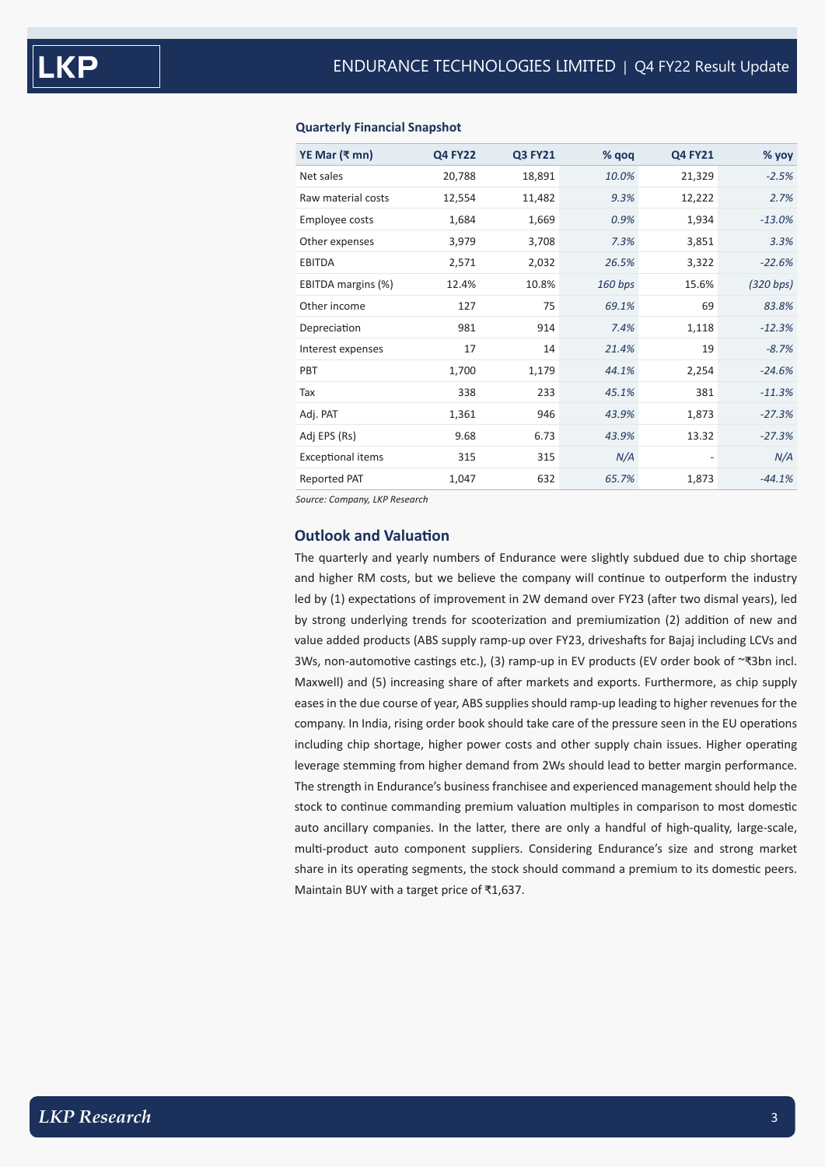| YE Mar (₹ mn)            | <b>Q4 FY22</b> | <b>Q3 FY21</b> | % qoq   | <b>Q4 FY21</b>           | % yoy     |
|--------------------------|----------------|----------------|---------|--------------------------|-----------|
| Net sales                | 20,788         | 18,891         | 10.0%   | 21,329                   | $-2.5%$   |
| Raw material costs       | 12,554         | 11,482         | 9.3%    | 12,222                   | 2.7%      |
| Employee costs           | 1,684          | 1,669          | 0.9%    | 1,934                    | $-13.0%$  |
| Other expenses           | 3,979          | 3,708          | 7.3%    | 3,851                    | 3.3%      |
| <b>EBITDA</b>            | 2,571          | 2,032          | 26.5%   | 3,322                    | $-22.6%$  |
| EBITDA margins (%)       | 12.4%          | 10.8%          | 160 bps | 15.6%                    | (320 bps) |
| Other income             | 127            | 75             | 69.1%   | 69                       | 83.8%     |
| Depreciation             | 981            | 914            | 7.4%    | 1,118                    | $-12.3%$  |
| Interest expenses        | 17             | 14             | 21.4%   | 19                       | $-8.7%$   |
| PBT                      | 1,700          | 1,179          | 44.1%   | 2,254                    | $-24.6%$  |
| Tax                      | 338            | 233            | 45.1%   | 381                      | $-11.3%$  |
| Adj. PAT                 | 1,361          | 946            | 43.9%   | 1,873                    | $-27.3%$  |
| Adj EPS (Rs)             | 9.68           | 6.73           | 43.9%   | 13.32                    | $-27.3%$  |
| <b>Exceptional items</b> | 315            | 315            | N/A     | $\overline{\phantom{a}}$ | N/A       |
| Reported PAT             | 1,047          | 632            | 65.7%   | 1,873                    | $-44.1%$  |
|                          |                |                |         |                          |           |

#### **Quarterly Financial Snapshot**

*Source: Company, LKP Research*

### **Outlook and Valuation**

The quarterly and yearly numbers of Endurance were slightly subdued due to chip shortage and higher RM costs, but we believe the company will continue to outperform the industry led by (1) expectations of improvement in 2W demand over FY23 (after two dismal years), led by strong underlying trends for scooterization and premiumization (2) addition of new and value added products (ABS supply ramp-up over FY23, driveshafts for Bajaj including LCVs and 3Ws, non-automotive castings etc.), (3) ramp-up in EV products (EV order book of ~₹3bn incl. Maxwell) and (5) increasing share of after markets and exports. Furthermore, as chip supply eases in the due course of year, ABS supplies should ramp-up leading to higher revenues for the company. In India, rising order book should take care of the pressure seen in the EU operations including chip shortage, higher power costs and other supply chain issues. Higher operating leverage stemming from higher demand from 2Ws should lead to better margin performance. The strength in Endurance's business franchisee and experienced management should help the stock to continue commanding premium valuation multiples in comparison to most domestic auto ancillary companies. In the latter, there are only a handful of high-quality, large-scale, multi-product auto component suppliers. Considering Endurance's size and strong market share in its operating segments, the stock should command a premium to its domestic peers. Maintain BUY with a target price of ₹1,637.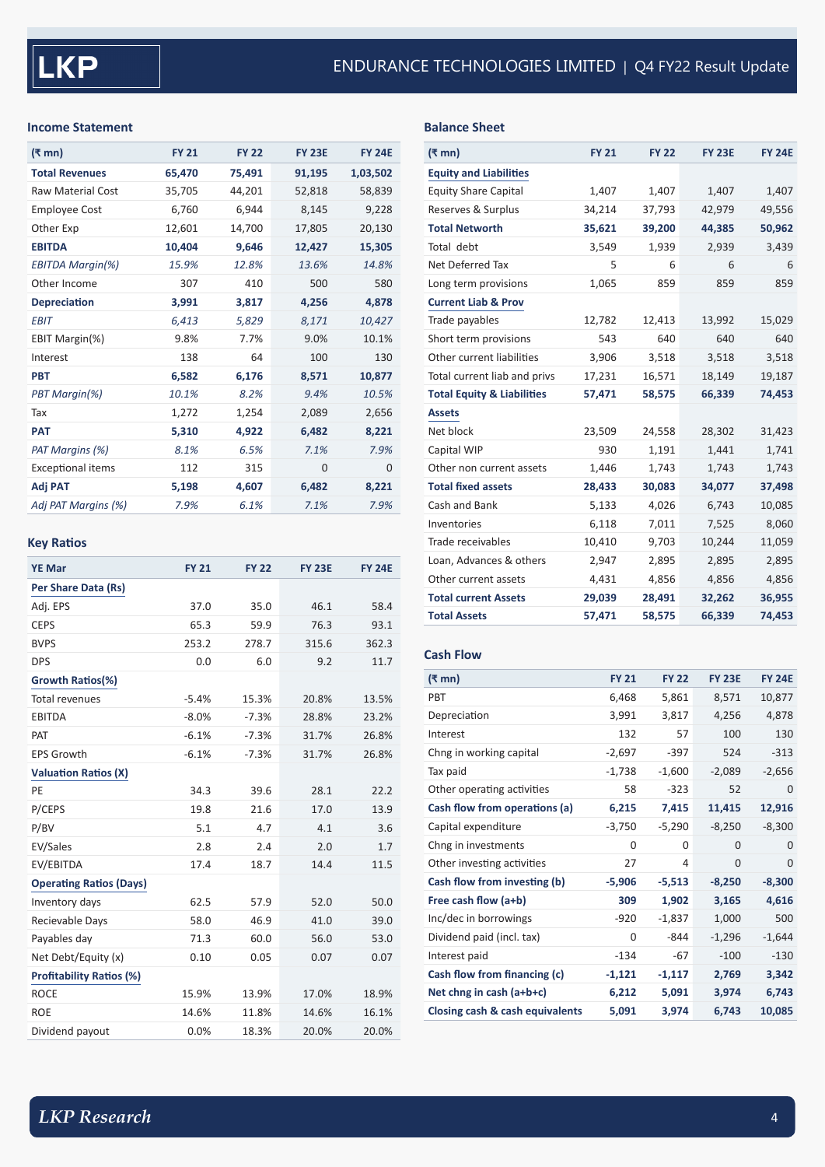## **Income Statement**

| (₹ mn)                   | <b>FY 21</b> | <b>FY 22</b> | <b>FY 23E</b> | <b>FY 24E</b> |
|--------------------------|--------------|--------------|---------------|---------------|
| <b>Total Revenues</b>    | 65,470       | 75,491       | 91,195        | 1,03,502      |
| <b>Raw Material Cost</b> | 35,705       | 44,201       | 52,818        | 58,839        |
| <b>Employee Cost</b>     | 6,760        | 6,944        | 8,145         | 9,228         |
| Other Exp                | 12,601       | 14,700       | 17,805        | 20,130        |
| <b>EBITDA</b>            | 10,404       | 9,646        | 12,427        | 15,305        |
| <b>EBITDA Margin(%)</b>  | 15.9%        | 12.8%        | 13.6%         | 14.8%         |
| Other Income             | 307          | 410          | 500           | 580           |
| <b>Depreciation</b>      | 3,991        | 3,817        | 4,256         | 4,878         |
| EBIT                     | 6,413        | 5,829        | 8,171         | 10,427        |
| EBIT Margin(%)           | 9.8%         | 7.7%         | 9.0%          | 10.1%         |
| Interest                 | 138          | 64           | 100           | 130           |
| <b>PBT</b>               | 6,582        | 6,176        | 8,571         | 10,877        |
| PBT Margin(%)            | 10.1%        | 8.2%         | 9.4%          | 10.5%         |
| Tax                      | 1,272        | 1,254        | 2,089         | 2,656         |
| <b>PAT</b>               | 5,310        | 4,922        | 6,482         | 8,221         |
| PAT Margins (%)          | 8.1%         | 6.5%         | 7.1%          | 7.9%          |
| <b>Exceptional items</b> | 112          | 315          | 0             | $\Omega$      |
| Adj PAT                  | 5,198        | 4,607        | 6,482         | 8,221         |
| Adj PAT Margins (%)      | 7.9%         | 6.1%         | 7.1%          | 7.9%          |

# **Key Ratios**

| <b>YE Mar</b>                   | <b>FY 21</b> | <b>FY 22</b> | <b>FY 23E</b> | <b>FY 24E</b> |
|---------------------------------|--------------|--------------|---------------|---------------|
| Per Share Data (Rs)             |              |              |               |               |
| Adj. EPS                        | 37.0         | 35.0         | 46.1          | 58.4          |
| <b>CEPS</b>                     | 65.3         | 59.9         | 76.3          | 93.1          |
| <b>BVPS</b>                     | 253.2        | 278.7        | 315.6         | 362.3         |
| <b>DPS</b>                      | 0.0          | 6.0          | 9.2           | 11.7          |
| Growth Ratios(%)                |              |              |               |               |
| <b>Total revenues</b>           | $-5.4%$      | 15.3%        | 20.8%         | 13.5%         |
| <b>EBITDA</b>                   | $-8.0%$      | $-7.3%$      | 28.8%         | 23.2%         |
| PAT                             | $-6.1%$      | $-7.3%$      | 31.7%         | 26.8%         |
| <b>EPS Growth</b>               | $-6.1%$      | $-7.3%$      | 31.7%         | 26.8%         |
| <b>Valuation Ratios (X)</b>     |              |              |               |               |
| PE                              | 34.3         | 39.6         | 28.1          | 22.2          |
| P/CEPS                          | 19.8         | 21.6         | 17.0          | 13.9          |
| P/BV                            | 5.1          | 4.7          | 4.1           | 3.6           |
| EV/Sales                        | 2.8          | 2.4          | 2.0           | 1.7           |
| EV/EBITDA                       | 17.4         | 18.7         | 14.4          | 11.5          |
| <b>Operating Ratios (Days)</b>  |              |              |               |               |
| Inventory days                  | 62.5         | 57.9         | 52.0          | 50.0          |
| Recievable Days                 | 58.0         | 46.9         | 41.0          | 39.0          |
| Payables day                    | 71.3         | 60.0         | 56.0          | 53.0          |
| Net Debt/Equity (x)             | 0.10         | 0.05         | 0.07          | 0.07          |
| <b>Profitability Ratios (%)</b> |              |              |               |               |
| <b>ROCE</b>                     | 15.9%        | 13.9%        | 17.0%         | 18.9%         |
| <b>ROE</b>                      | 14.6%        | 11.8%        | 14.6%         | 16.1%         |
| Dividend payout                 | 0.0%         | 18.3%        | 20.0%         | 20.0%         |

**Balance Sheet**

| $(\bar{\tau}$ mn)                     | <b>FY 21</b> | <b>FY 22</b> | <b>FY 23E</b> | <b>FY 24E</b> |
|---------------------------------------|--------------|--------------|---------------|---------------|
| <b>Equity and Liabilities</b>         |              |              |               |               |
| <b>Equity Share Capital</b>           | 1,407        | 1,407        | 1,407         | 1,407         |
| Reserves & Surplus                    | 34,214       | 37,793       | 42,979        | 49,556        |
| <b>Total Networth</b>                 | 35,621       | 39,200       | 44,385        | 50,962        |
| Total debt                            | 3,549        | 1,939        | 2,939         | 3,439         |
| Net Deferred Tax                      | 5            | 6            | 6             | 6             |
| Long term provisions                  | 1,065        | 859          | 859           | 859           |
| <b>Current Liab &amp; Prov</b>        |              |              |               |               |
| Trade payables                        | 12,782       | 12,413       | 13,992        | 15,029        |
| Short term provisions                 | 543          | 640          | 640           | 640           |
| Other current liabilities             | 3,906        | 3,518        | 3,518         | 3,518         |
| Total current liab and privs          | 17,231       | 16,571       | 18,149        | 19,187        |
| <b>Total Equity &amp; Liabilities</b> | 57,471       | 58,575       | 66,339        | 74,453        |
| <b>Assets</b>                         |              |              |               |               |
| Net block                             | 23,509       | 24,558       | 28,302        | 31,423        |
| Capital WIP                           | 930          | 1,191        | 1,441         | 1,741         |
| Other non current assets              | 1,446        | 1,743        | 1,743         | 1,743         |
| <b>Total fixed assets</b>             | 28,433       | 30,083       | 34,077        | 37,498        |
| Cash and Bank                         | 5,133        | 4,026        | 6,743         | 10,085        |
| Inventories                           | 6,118        | 7,011        | 7,525         | 8,060         |
| Trade receivables                     | 10,410       | 9,703        | 10,244        | 11,059        |
| Loan, Advances & others               | 2,947        | 2,895        | 2,895         | 2,895         |
| Other current assets                  | 4,431        | 4,856        | 4,856         | 4,856         |
| <b>Total current Assets</b>           | 29,039       | 28,491       | 32,262        | 36,955        |
| <b>Total Assets</b>                   | 57,471       | 58,575       | 66,339        | 74,453        |

## **Cash Flow**

| (₹ mn)                          | <b>FY 21</b> | <b>FY 22</b> | <b>FY 23E</b> | <b>FY 24E</b> |
|---------------------------------|--------------|--------------|---------------|---------------|
| <b>PBT</b>                      | 6,468        | 5,861        | 8,571         | 10,877        |
| Depreciation                    | 3,991        | 3,817        | 4,256         | 4,878         |
| Interest                        | 132          | 57           | 100           | 130           |
| Chng in working capital         | $-2,697$     | $-397$       | 524           | $-313$        |
| Tax paid                        | $-1,738$     | $-1,600$     | $-2,089$      | $-2,656$      |
| Other operating activities      | 58           | $-323$       | 52            | $\Omega$      |
| Cash flow from operations (a)   | 6,215        | 7,415        | 11,415        | 12,916        |
| Capital expenditure             | $-3,750$     | $-5,290$     | $-8,250$      | $-8,300$      |
| Chng in investments             | 0            | 0            | 0             | $\Omega$      |
| Other investing activities      | 27           | 4            | 0             | $\mathbf 0$   |
| Cash flow from investing (b)    | $-5,906$     | $-5,513$     | $-8,250$      | $-8,300$      |
| Free cash flow (a+b)            | 309          | 1,902        | 3,165         | 4,616         |
| Inc/dec in borrowings           | $-920$       | $-1,837$     | 1,000         | 500           |
| Dividend paid (incl. tax)       | 0            | $-844$       | $-1,296$      | $-1,644$      |
| Interest paid                   | $-134$       | $-67$        | $-100$        | $-130$        |
| Cash flow from financing (c)    | $-1,121$     | $-1,117$     | 2,769         | 3,342         |
| Net chng in cash (a+b+c)        | 6,212        | 5,091        | 3,974         | 6,743         |
| Closing cash & cash equivalents | 5,091        | 3,974        | 6,743         | 10,085        |